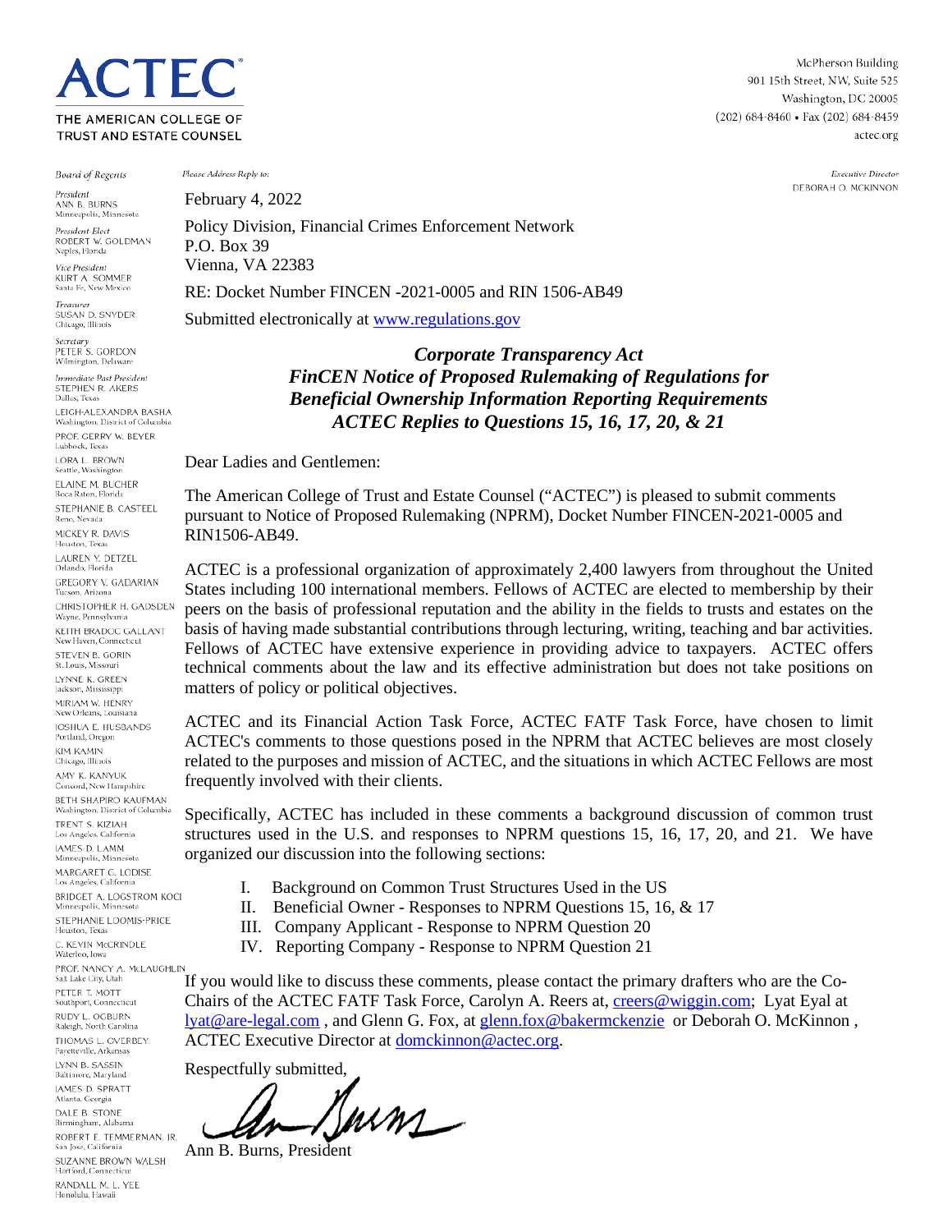THE AMERICAN COLLEGE OF TRUST AND ESTATE COUNSEL

**TEC** 

**Board of Regents** 

President ANN B. BURNS Minneapolis, Minnesota

President-Elect ROBERT W. GOLDMAN Naples, Florida

Vice President **KURT A. SOMMER** Santa Fe, New Mexico

Treasurer SLISAN D. SNYDER Chicago, Illinois

Secretary<br>PETER S. GORDON Wilmington, Delaware

ediate Past President STEPHEN R. AKERS Dallas, Texas LEIGH-ALEXANDRA BASHA Washington, District of Columb PROF. GERRY W. BEYER Lubbock, Texas LORA L. BROWN Seattle, Washington ELAINE M. BUCHER Boca Raton, Florida STEPHANIE B. CASTEEL Reno, Nevada MICKEY R. DAVIS Houston, Texas LAUREN Y. DETZEL Orlando, Florida **GREGORY V. GADARIAN** Tucson, Arizona CHRISTOPHER H. GADSDEN Wayne, Pennsylvania KEITH BRADOC GALLANT New Haven, Connecticut STEVEN B. GORIN St. Louis, Missouri LYNNE K. GREEN Jackson, Mississipp MIRIAM W. HENRY New Orleans, Louisiana JOSHUA E. HUSBANDS Portland, Oregon **KIM KAMIN** Chicago, Illinois AMY K. KANYUK Concord, New Hampshire **BETH SHAPIRO KAUFMAN** Washington, District of Columbia TRENT S KIZIAH Los Angeles, California **IAMES D. LAMM** Minneapolis, Minnesota MARGARET G. LODISE Los Angeles, California BRIDGET A. LOGSTROM KOCI Minneapolis, Minnesota STEPHANIE LOOMIS-PRICE Houston, Texas C. KEVIN McCRINDLE Waterloo, Iowa PROF. NANCY A. McLAUGHLIN Salt Lake City, Utah PETER T\_MOTT Southport, Connecticut RUDY L. OGBURN Raleigh, North Carolina THOMAS L. OVERBEY Fayetteville, Arkansas LYNN B. SASSIN Baltimore, Maryland **JAMES D. SPRATT** Atlanta, Georgia DALE B. STONE Birmingham, Alabama ROBERT E. TEMMERMAN, IR. San Jose, California SUZANNE BROWN WALSH Hartford, Connecticut

RANDALL M. L. YEE Honolulu, Hawaii

Please Address Reply to:

February 4, 2022 Policy Division, Financial Crimes Enforcement Network P.O. Box 39

Vienna, VA 22383

RE: Docket Number FINCEN -2021-0005 and RIN 1506-AB49

Submitted electronically at [www.regulations.gov](http://www.regulations.gov/)

*Corporate Transparency Act FinCEN Notice of Proposed Rulemaking of Regulations for Beneficial Ownership Information Reporting Requirements ACTEC Replies to Questions 15, 16, 17, 20, & 21*

Dear Ladies and Gentlemen:

The American College of Trust and Estate Counsel ("ACTEC") is pleased to submit comments pursuant to Notice of Proposed Rulemaking (NPRM), Docket Number FINCEN-2021-0005 and RIN1506-AB49.

ACTEC is a professional organization of approximately 2,400 lawyers from throughout the United States including 100 international members. Fellows of ACTEC are elected to membership by their peers on the basis of professional reputation and the ability in the fields to trusts and estates on the basis of having made substantial contributions through lecturing, writing, teaching and bar activities. Fellows of ACTEC have extensive experience in providing advice to taxpayers. ACTEC offers technical comments about the law and its effective administration but does not take positions on matters of policy or political objectives.

ACTEC and its Financial Action Task Force, ACTEC FATF Task Force, have chosen to limit ACTEC's comments to those questions posed in the NPRM that ACTEC believes are most closely related to the purposes and mission of ACTEC, and the situations in which ACTEC Fellows are most frequently involved with their clients.

Specifically, ACTEC has included in these comments a background discussion of common trust structures used in the U.S. and responses to NPRM questions 15, 16, 17, 20, and 21. We have organized our discussion into the following sections:

- I. Background on Common Trust Structures Used in the US
- II. Beneficial Owner Responses to NPRM Questions 15, 16, & 17
- III. Company Applicant Response to NPRM Question 20
- IV. Reporting Company Response to NPRM Question 21

If you would like to discuss these comments, please contact the primary drafters who are the Co-Chairs of the ACTEC FATF Task Force, Carolyn A. Reers at, [creers@wiggin.com;](mailto:creers@wiggin.com) Lyat Eyal at [lyat@are-legal.com](mailto:lyat@are-legal.com) , and Glenn G. Fox, at [glenn.fox@bakermckenzie](mailto:glenn.fox@bakermckenzie) or Deborah O. McKinnon , ACTEC Executive Director at **domckinnon@actec.org**.

Respectfully submitted,

Burns

Ann B. Burns, President

McPherson Building 901 15th Street, NW, Suite 525 Washington, DC 20005 (202) 684-8460 · Fax (202) 684-8459 actec.org

> Executive Director DEBORAH O. MCKINNON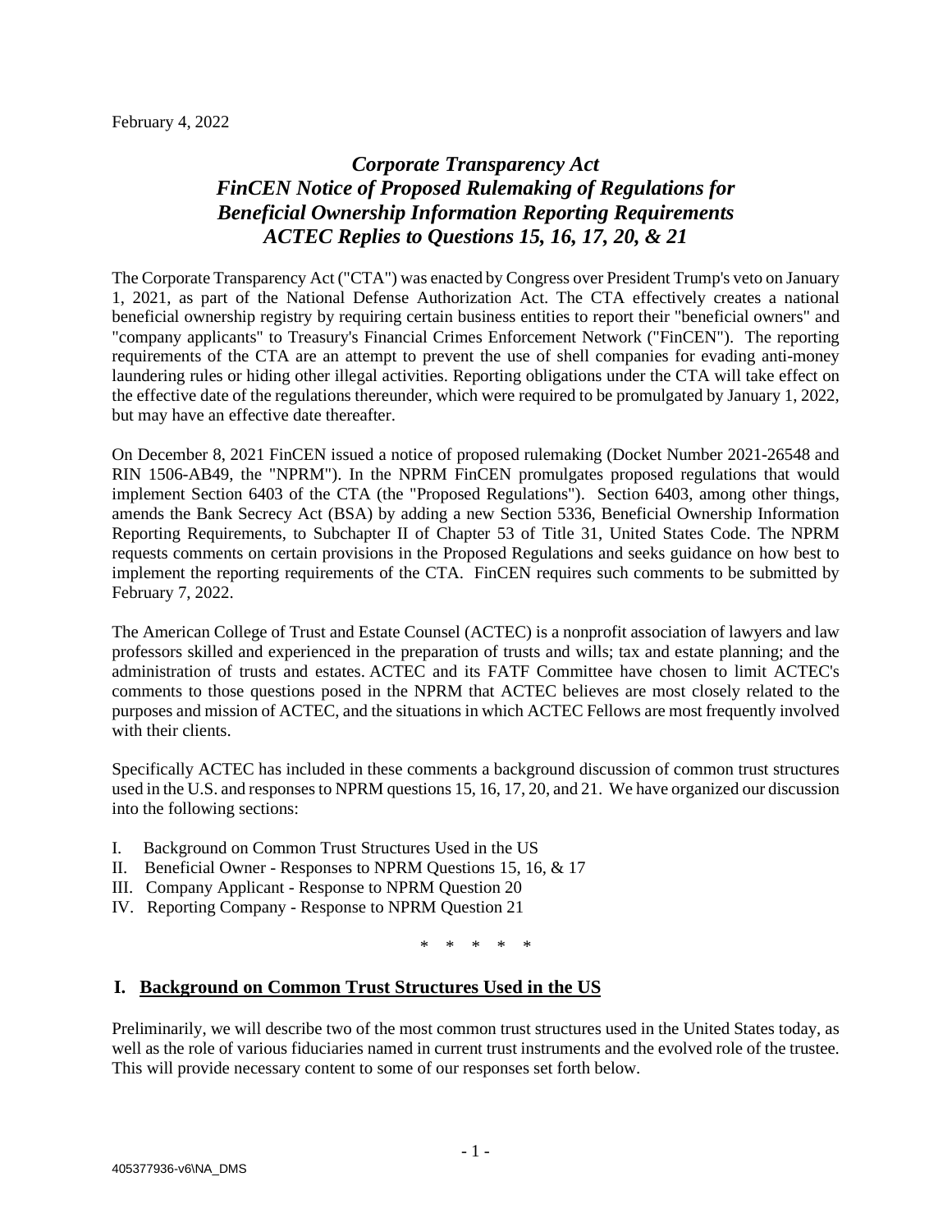# *Corporate Transparency Act FinCEN Notice of Proposed Rulemaking of Regulations for Beneficial Ownership Information Reporting Requirements ACTEC Replies to Questions 15, 16, 17, 20, & 21*

The Corporate Transparency Act ("CTA") was enacted by Congress over President Trump's veto on January 1, 2021, as part of the National Defense Authorization Act. The CTA effectively creates a national beneficial ownership registry by requiring certain business entities to report their "beneficial owners" and "company applicants" to Treasury's Financial Crimes Enforcement Network ("FinCEN"). The reporting requirements of the CTA are an attempt to prevent the use of shell companies for evading anti-money laundering rules or hiding other illegal activities. Reporting obligations under the CTA will take effect on the effective date of the regulations thereunder, which were required to be promulgated by January 1, 2022, but may have an effective date thereafter.

On December 8, 2021 FinCEN issued a notice of proposed rulemaking (Docket Number 2021-26548 and RIN 1506-AB49, the "NPRM"). In the NPRM FinCEN promulgates proposed regulations that would implement Section 6403 of the CTA (the "Proposed Regulations"). Section 6403, among other things, amends the Bank Secrecy Act (BSA) by adding a new Section 5336, Beneficial Ownership Information Reporting Requirements, to Subchapter II of Chapter 53 of Title 31, United States Code. The NPRM requests comments on certain provisions in the Proposed Regulations and seeks guidance on how best to implement the reporting requirements of the CTA. FinCEN requires such comments to be submitted by February 7, 2022.

The American College of Trust and Estate Counsel (ACTEC) is a nonprofit association of lawyers and law professors skilled and experienced in the preparation of trusts and wills; tax and estate planning; and the administration of trusts and estates. ACTEC and its FATF Committee have chosen to limit ACTEC's comments to those questions posed in the NPRM that ACTEC believes are most closely related to the purposes and mission of ACTEC, and the situations in which ACTEC Fellows are most frequently involved with their clients.

Specifically ACTEC has included in these comments a background discussion of common trust structures used in the U.S. and responses to NPRM questions 15, 16, 17, 20, and 21. We have organized our discussion into the following sections:

- I. Background on Common Trust Structures Used in the US
- II. Beneficial Owner Responses to NPRM Questions 15, 16, & 17
- III. Company Applicant Response to NPRM Question 20
- IV. Reporting Company Response to NPRM Question 21

\* \* \* \* \*

#### **I. Background on Common Trust Structures Used in the US**

Preliminarily, we will describe two of the most common trust structures used in the United States today, as well as the role of various fiduciaries named in current trust instruments and the evolved role of the trustee. This will provide necessary content to some of our responses set forth below.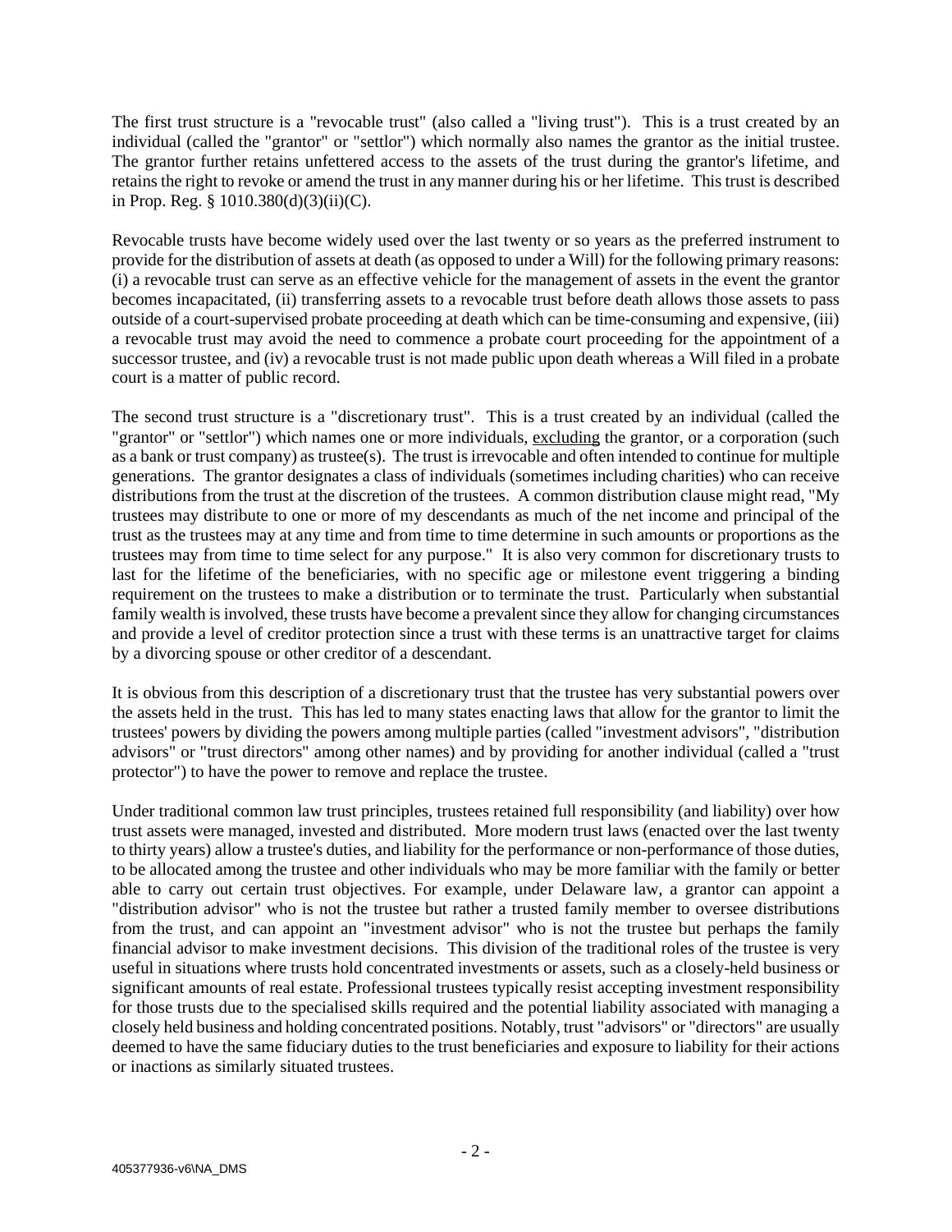The first trust structure is a "revocable trust" (also called a "living trust"). This is a trust created by an individual (called the "grantor" or "settlor") which normally also names the grantor as the initial trustee. The grantor further retains unfettered access to the assets of the trust during the grantor's lifetime, and retains the right to revoke or amend the trust in any manner during his or her lifetime. This trust is described in Prop. Reg.  $\S 1010.380(d)(3)(ii)(C)$ .

Revocable trusts have become widely used over the last twenty or so years as the preferred instrument to provide for the distribution of assets at death (as opposed to under a Will) for the following primary reasons: (i) a revocable trust can serve as an effective vehicle for the management of assets in the event the grantor becomes incapacitated, (ii) transferring assets to a revocable trust before death allows those assets to pass outside of a court-supervised probate proceeding at death which can be time-consuming and expensive, (iii) a revocable trust may avoid the need to commence a probate court proceeding for the appointment of a successor trustee, and (iv) a revocable trust is not made public upon death whereas a Will filed in a probate court is a matter of public record.

The second trust structure is a "discretionary trust". This is a trust created by an individual (called the "grantor" or "settlor") which names one or more individuals, excluding the grantor, or a corporation (such as a bank or trust company) as trustee(s). The trust is irrevocable and often intended to continue for multiple generations. The grantor designates a class of individuals (sometimes including charities) who can receive distributions from the trust at the discretion of the trustees. A common distribution clause might read, "My trustees may distribute to one or more of my descendants as much of the net income and principal of the trust as the trustees may at any time and from time to time determine in such amounts or proportions as the trustees may from time to time select for any purpose." It is also very common for discretionary trusts to last for the lifetime of the beneficiaries, with no specific age or milestone event triggering a binding requirement on the trustees to make a distribution or to terminate the trust. Particularly when substantial family wealth is involved, these trusts have become a prevalent since they allow for changing circumstances and provide a level of creditor protection since a trust with these terms is an unattractive target for claims by a divorcing spouse or other creditor of a descendant.

It is obvious from this description of a discretionary trust that the trustee has very substantial powers over the assets held in the trust. This has led to many states enacting laws that allow for the grantor to limit the trustees' powers by dividing the powers among multiple parties (called "investment advisors", "distribution advisors" or "trust directors" among other names) and by providing for another individual (called a "trust protector") to have the power to remove and replace the trustee.

Under traditional common law trust principles, trustees retained full responsibility (and liability) over how trust assets were managed, invested and distributed. More modern trust laws (enacted over the last twenty to thirty years) allow a trustee's duties, and liability for the performance or non-performance of those duties, to be allocated among the trustee and other individuals who may be more familiar with the family or better able to carry out certain trust objectives. For example, under Delaware law, a grantor can appoint a "distribution advisor" who is not the trustee but rather a trusted family member to oversee distributions from the trust, and can appoint an "investment advisor" who is not the trustee but perhaps the family financial advisor to make investment decisions. This division of the traditional roles of the trustee is very useful in situations where trusts hold concentrated investments or assets, such as a closely-held business or significant amounts of real estate. Professional trustees typically resist accepting investment responsibility for those trusts due to the specialised skills required and the potential liability associated with managing a closely held business and holding concentrated positions. Notably, trust "advisors" or "directors" are usually deemed to have the same fiduciary duties to the trust beneficiaries and exposure to liability for their actions or inactions as similarly situated trustees.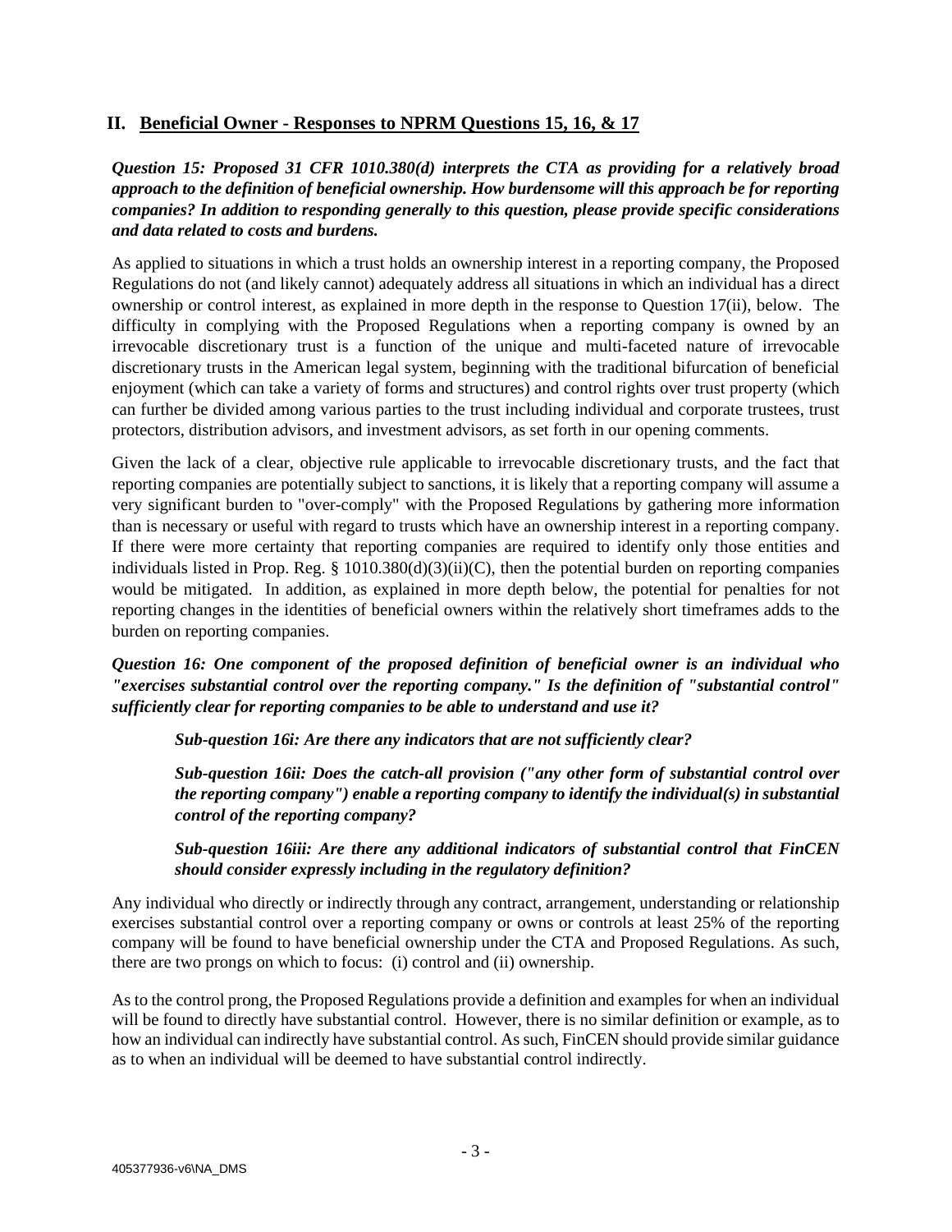## **II. Beneficial Owner - Responses to NPRM Questions 15, 16, & 17**

*Question 15: Proposed 31 CFR 1010.380(d) interprets the CTA as providing for a relatively broad approach to the definition of beneficial ownership. How burdensome will this approach be for reporting companies? In addition to responding generally to this question, please provide specific considerations and data related to costs and burdens.*

As applied to situations in which a trust holds an ownership interest in a reporting company, the Proposed Regulations do not (and likely cannot) adequately address all situations in which an individual has a direct ownership or control interest, as explained in more depth in the response to Question 17(ii), below. The difficulty in complying with the Proposed Regulations when a reporting company is owned by an irrevocable discretionary trust is a function of the unique and multi-faceted nature of irrevocable discretionary trusts in the American legal system, beginning with the traditional bifurcation of beneficial enjoyment (which can take a variety of forms and structures) and control rights over trust property (which can further be divided among various parties to the trust including individual and corporate trustees, trust protectors, distribution advisors, and investment advisors, as set forth in our opening comments.

Given the lack of a clear, objective rule applicable to irrevocable discretionary trusts, and the fact that reporting companies are potentially subject to sanctions, it is likely that a reporting company will assume a very significant burden to "over-comply" with the Proposed Regulations by gathering more information than is necessary or useful with regard to trusts which have an ownership interest in a reporting company. If there were more certainty that reporting companies are required to identify only those entities and individuals listed in Prop. Reg. §  $1010.380(d)(3)(ii)(C)$ , then the potential burden on reporting companies would be mitigated. In addition, as explained in more depth below, the potential for penalties for not reporting changes in the identities of beneficial owners within the relatively short timeframes adds to the burden on reporting companies.

*Question 16: One component of the proposed definition of beneficial owner is an individual who "exercises substantial control over the reporting company." Is the definition of "substantial control" sufficiently clear for reporting companies to be able to understand and use it?*

*Sub-question 16i: Are there any indicators that are not sufficiently clear?*

*Sub-question 16ii: Does the catch-all provision ("any other form of substantial control over the reporting company") enable a reporting company to identify the individual(s) in substantial control of the reporting company?*

*Sub-question 16iii: Are there any additional indicators of substantial control that FinCEN should consider expressly including in the regulatory definition?* 

Any individual who directly or indirectly through any contract, arrangement, understanding or relationship exercises substantial control over a reporting company or owns or controls at least 25% of the reporting company will be found to have beneficial ownership under the CTA and Proposed Regulations. As such, there are two prongs on which to focus: (i) control and (ii) ownership.

As to the control prong, the Proposed Regulations provide a definition and examples for when an individual will be found to directly have substantial control. However, there is no similar definition or example, as to how an individual can indirectly have substantial control. As such, FinCEN should provide similar guidance as to when an individual will be deemed to have substantial control indirectly.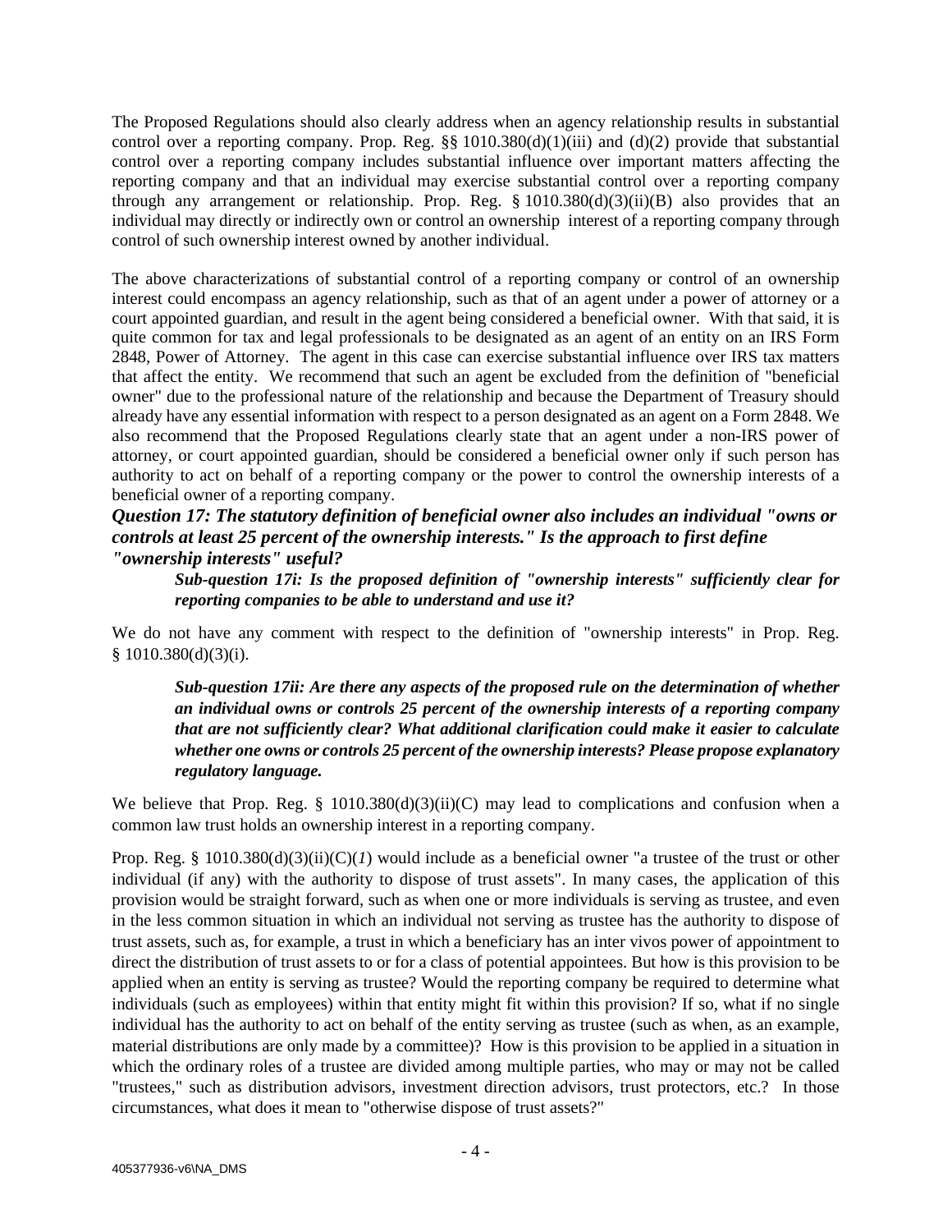The Proposed Regulations should also clearly address when an agency relationship results in substantial control over a reporting company. Prop. Reg.  $\S$ § 1010.380(d)(1)(iii) and (d)(2) provide that substantial control over a reporting company includes substantial influence over important matters affecting the reporting company and that an individual may exercise substantial control over a reporting company through any arrangement or relationship. Prop. Reg.  $\S 1010.380(d)(3)(ii)(B)$  also provides that an individual may directly or indirectly own or control an ownership interest of a reporting company through control of such ownership interest owned by another individual.

The above characterizations of substantial control of a reporting company or control of an ownership interest could encompass an agency relationship, such as that of an agent under a power of attorney or a court appointed guardian, and result in the agent being considered a beneficial owner. With that said, it is quite common for tax and legal professionals to be designated as an agent of an entity on an IRS Form 2848, Power of Attorney. The agent in this case can exercise substantial influence over IRS tax matters that affect the entity. We recommend that such an agent be excluded from the definition of "beneficial owner" due to the professional nature of the relationship and because the Department of Treasury should already have any essential information with respect to a person designated as an agent on a Form 2848. We also recommend that the Proposed Regulations clearly state that an agent under a non-IRS power of attorney, or court appointed guardian, should be considered a beneficial owner only if such person has authority to act on behalf of a reporting company or the power to control the ownership interests of a beneficial owner of a reporting company.

### *Question 17: The statutory definition of beneficial owner also includes an individual "owns or controls at least 25 percent of the ownership interests." Is the approach to first define "ownership interests" useful?*

*Sub-question 17i: Is the proposed definition of "ownership interests" sufficiently clear for reporting companies to be able to understand and use it?* 

We do not have any comment with respect to the definition of "ownership interests" in Prop. Reg. § 1010.380(d)(3)(i).

*Sub-question 17ii: Are there any aspects of the proposed rule on the determination of whether an individual owns or controls 25 percent of the ownership interests of a reporting company that are not sufficiently clear? What additional clarification could make it easier to calculate whether one owns or controls 25 percent of the ownership interests? Please propose explanatory regulatory language.* 

We believe that Prop. Reg. §  $1010.380(d)(3)(ii)(C)$  may lead to complications and confusion when a common law trust holds an ownership interest in a reporting company.

Prop. Reg. §  $1010.380(d)(3)(ii)(C)(I)$  would include as a beneficial owner "a trustee of the trust or other individual (if any) with the authority to dispose of trust assets". In many cases, the application of this provision would be straight forward, such as when one or more individuals is serving as trustee, and even in the less common situation in which an individual not serving as trustee has the authority to dispose of trust assets, such as, for example, a trust in which a beneficiary has an inter vivos power of appointment to direct the distribution of trust assets to or for a class of potential appointees. But how is this provision to be applied when an entity is serving as trustee? Would the reporting company be required to determine what individuals (such as employees) within that entity might fit within this provision? If so, what if no single individual has the authority to act on behalf of the entity serving as trustee (such as when, as an example, material distributions are only made by a committee)? How is this provision to be applied in a situation in which the ordinary roles of a trustee are divided among multiple parties, who may or may not be called "trustees," such as distribution advisors, investment direction advisors, trust protectors, etc.? In those circumstances, what does it mean to "otherwise dispose of trust assets?"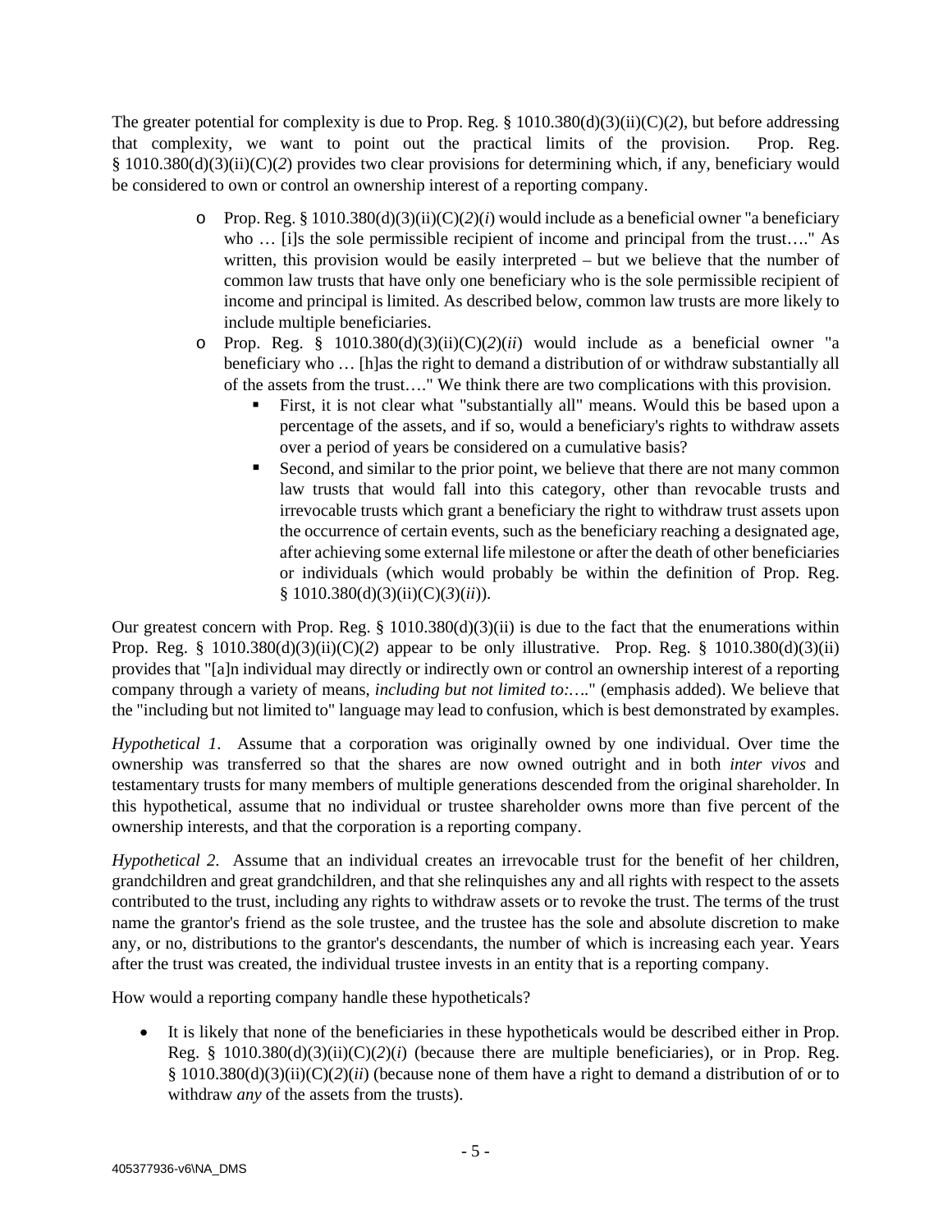The greater potential for complexity is due to Prop. Reg. § 1010.380(d)(3)(ii)(C)(*2*), but before addressing that complexity, we want to point out the practical limits of the provision. Prop. Reg. § 1010.380(d)(3)(ii)(C)(*2*) provides two clear provisions for determining which, if any, beneficiary would be considered to own or control an ownership interest of a reporting company.

- o Prop. Reg. § 1010.380(d)(3)(ii)(C)(*2*)(*i*) would include as a beneficial owner "a beneficiary who ... [i]s the sole permissible recipient of income and principal from the trust...." As written, this provision would be easily interpreted – but we believe that the number of common law trusts that have only one beneficiary who is the sole permissible recipient of income and principal is limited. As described below, common law trusts are more likely to include multiple beneficiaries.
- $\circ$  Prop. Reg. § 1010.380(d)(3)(ii)(C)(2)(*ii*) would include as a beneficial owner "a beneficiary who … [h]as the right to demand a distribution of or withdraw substantially all of the assets from the trust…." We think there are two complications with this provision.
	- First, it is not clear what "substantially all" means. Would this be based upon a percentage of the assets, and if so, would a beneficiary's rights to withdraw assets over a period of years be considered on a cumulative basis?
	- Second, and similar to the prior point, we believe that there are not many common law trusts that would fall into this category, other than revocable trusts and irrevocable trusts which grant a beneficiary the right to withdraw trust assets upon the occurrence of certain events, such as the beneficiary reaching a designated age, after achieving some external life milestone or after the death of other beneficiaries or individuals (which would probably be within the definition of Prop. Reg. § 1010.380(d)(3)(ii)(C)(*3*)(*ii*)).

Our greatest concern with Prop. Reg.  $\S$  1010.380(d)(3)(ii) is due to the fact that the enumerations within Prop. Reg. § 1010.380(d)(3)(ii)(C)(*2*) appear to be only illustrative. Prop. Reg. § 1010.380(d)(3)(ii) provides that "[a]n individual may directly or indirectly own or control an ownership interest of a reporting company through a variety of means, *including but not limited to:….*" (emphasis added). We believe that the "including but not limited to" language may lead to confusion, which is best demonstrated by examples.

*Hypothetical 1*. Assume that a corporation was originally owned by one individual. Over time the ownership was transferred so that the shares are now owned outright and in both *inter vivos* and testamentary trusts for many members of multiple generations descended from the original shareholder. In this hypothetical, assume that no individual or trustee shareholder owns more than five percent of the ownership interests, and that the corporation is a reporting company.

*Hypothetical 2.* Assume that an individual creates an irrevocable trust for the benefit of her children, grandchildren and great grandchildren, and that she relinquishes any and all rights with respect to the assets contributed to the trust, including any rights to withdraw assets or to revoke the trust. The terms of the trust name the grantor's friend as the sole trustee, and the trustee has the sole and absolute discretion to make any, or no, distributions to the grantor's descendants, the number of which is increasing each year. Years after the trust was created, the individual trustee invests in an entity that is a reporting company.

How would a reporting company handle these hypotheticals?

• It is likely that none of the beneficiaries in these hypotheticals would be described either in Prop. Reg. § 1010.380(d)(3)(ii)(C)(*2*)(*i*) (because there are multiple beneficiaries), or in Prop. Reg. § 1010.380(d)(3)(ii)(C)(*2*)(*ii*) (because none of them have a right to demand a distribution of or to withdraw *any* of the assets from the trusts).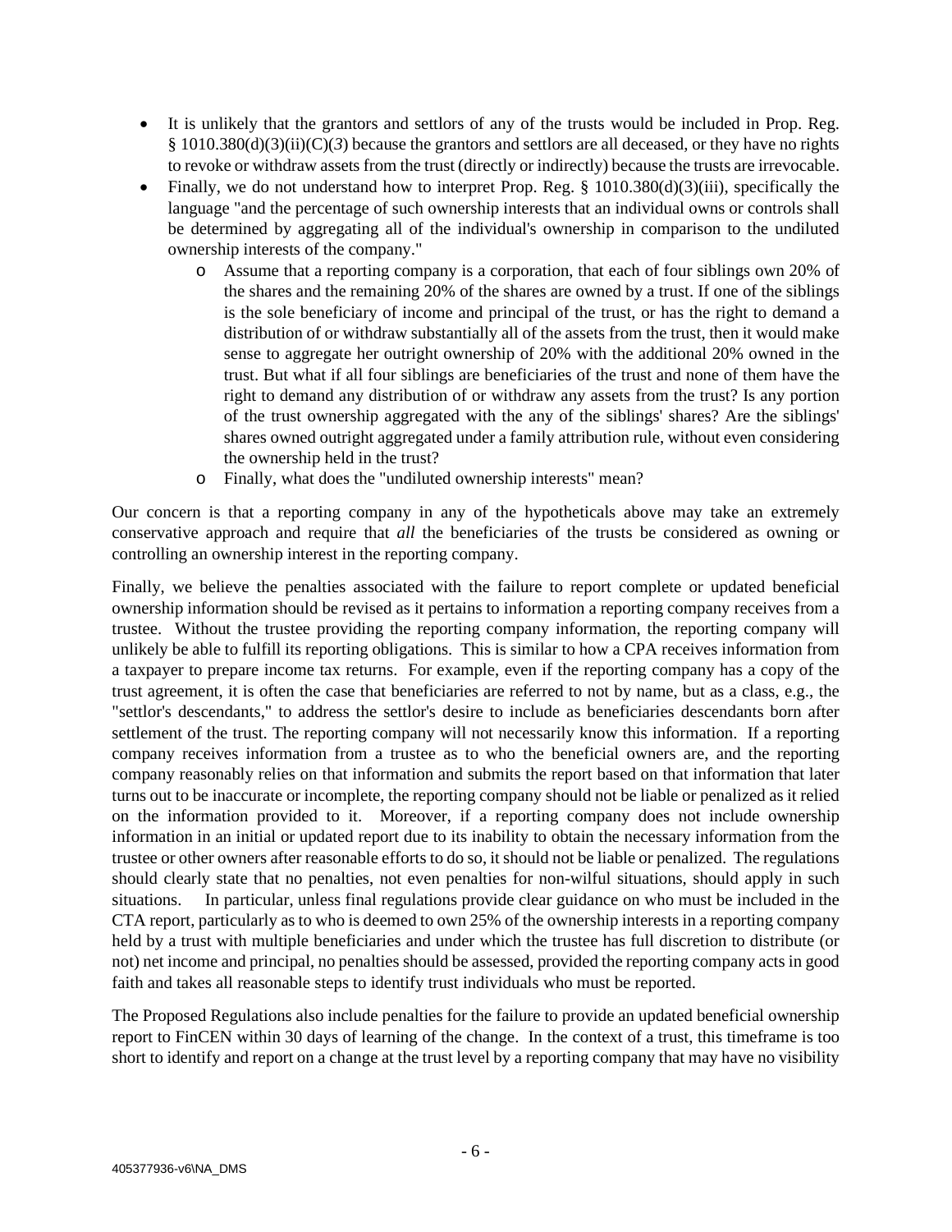- It is unlikely that the grantors and settlors of any of the trusts would be included in Prop. Reg. § 1010.380(d)(3)(ii)(C)(*3*) because the grantors and settlors are all deceased, or they have no rights to revoke or withdraw assets from the trust (directly or indirectly) because the trusts are irrevocable.
- Finally, we do not understand how to interpret Prop. Reg.  $\S$  1010.380(d)(3)(iii), specifically the language "and the percentage of such ownership interests that an individual owns or controls shall be determined by aggregating all of the individual's ownership in comparison to the undiluted ownership interests of the company."
	- o Assume that a reporting company is a corporation, that each of four siblings own 20% of the shares and the remaining 20% of the shares are owned by a trust. If one of the siblings is the sole beneficiary of income and principal of the trust, or has the right to demand a distribution of or withdraw substantially all of the assets from the trust, then it would make sense to aggregate her outright ownership of 20% with the additional 20% owned in the trust. But what if all four siblings are beneficiaries of the trust and none of them have the right to demand any distribution of or withdraw any assets from the trust? Is any portion of the trust ownership aggregated with the any of the siblings' shares? Are the siblings' shares owned outright aggregated under a family attribution rule, without even considering the ownership held in the trust?
	- o Finally, what does the "undiluted ownership interests" mean?

Our concern is that a reporting company in any of the hypotheticals above may take an extremely conservative approach and require that *all* the beneficiaries of the trusts be considered as owning or controlling an ownership interest in the reporting company.

Finally, we believe the penalties associated with the failure to report complete or updated beneficial ownership information should be revised as it pertains to information a reporting company receives from a trustee. Without the trustee providing the reporting company information, the reporting company will unlikely be able to fulfill its reporting obligations. This is similar to how a CPA receives information from a taxpayer to prepare income tax returns. For example, even if the reporting company has a copy of the trust agreement, it is often the case that beneficiaries are referred to not by name, but as a class, e.g., the "settlor's descendants," to address the settlor's desire to include as beneficiaries descendants born after settlement of the trust. The reporting company will not necessarily know this information. If a reporting company receives information from a trustee as to who the beneficial owners are, and the reporting company reasonably relies on that information and submits the report based on that information that later turns out to be inaccurate or incomplete, the reporting company should not be liable or penalized as it relied on the information provided to it. Moreover, if a reporting company does not include ownership information in an initial or updated report due to its inability to obtain the necessary information from the trustee or other owners after reasonable efforts to do so, it should not be liable or penalized. The regulations should clearly state that no penalties, not even penalties for non-wilful situations, should apply in such situations. In particular, unless final regulations provide clear guidance on who must be included in the CTA report, particularly as to who is deemed to own 25% of the ownership interests in a reporting company held by a trust with multiple beneficiaries and under which the trustee has full discretion to distribute (or not) net income and principal, no penalties should be assessed, provided the reporting company acts in good faith and takes all reasonable steps to identify trust individuals who must be reported.

The Proposed Regulations also include penalties for the failure to provide an updated beneficial ownership report to FinCEN within 30 days of learning of the change. In the context of a trust, this timeframe is too short to identify and report on a change at the trust level by a reporting company that may have no visibility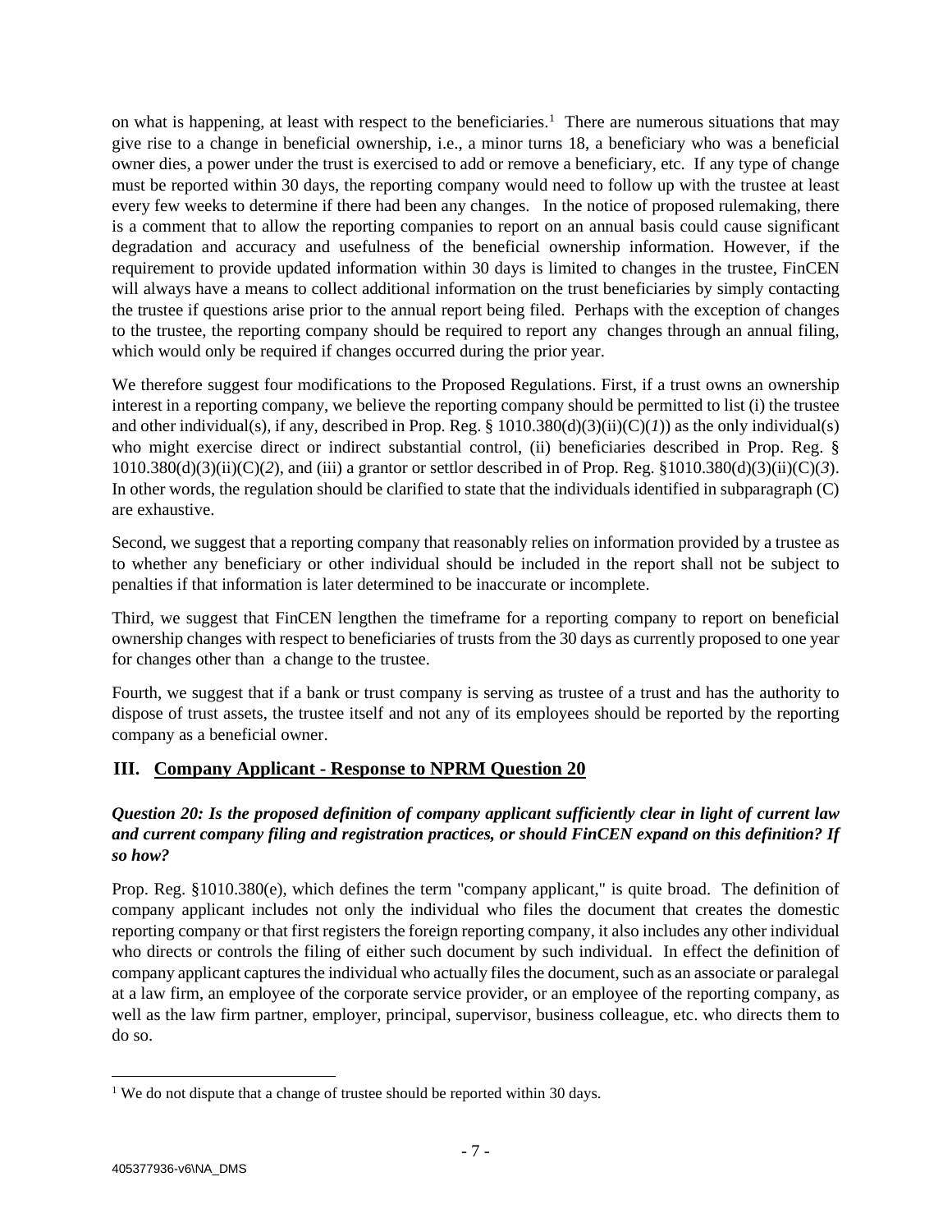on what is happening, at least with respect to the beneficiaries.<sup>1</sup> There are numerous situations that may give rise to a change in beneficial ownership, i.e., a minor turns 18, a beneficiary who was a beneficial owner dies, a power under the trust is exercised to add or remove a beneficiary, etc. If any type of change must be reported within 30 days, the reporting company would need to follow up with the trustee at least every few weeks to determine if there had been any changes. In the notice of proposed rulemaking, there is a comment that to allow the reporting companies to report on an annual basis could cause significant degradation and accuracy and usefulness of the beneficial ownership information. However, if the requirement to provide updated information within 30 days is limited to changes in the trustee, FinCEN will always have a means to collect additional information on the trust beneficiaries by simply contacting the trustee if questions arise prior to the annual report being filed. Perhaps with the exception of changes to the trustee, the reporting company should be required to report any changes through an annual filing, which would only be required if changes occurred during the prior year.

We therefore suggest four modifications to the Proposed Regulations. First, if a trust owns an ownership interest in a reporting company, we believe the reporting company should be permitted to list (i) the trustee and other individual(s), if any, described in Prop. Reg. § 1010.380(d)(3)(ii)(C)(*1*)) as the only individual(s) who might exercise direct or indirect substantial control, (ii) beneficiaries described in Prop. Reg. §  $1010.380(d)(3)(ii)(C)(2)$ , and (iii) a grantor or settlor described in of Prop. Reg. §1010.380(d)(3)(ii)(C)(3). In other words, the regulation should be clarified to state that the individuals identified in subparagraph (C) are exhaustive.

Second, we suggest that a reporting company that reasonably relies on information provided by a trustee as to whether any beneficiary or other individual should be included in the report shall not be subject to penalties if that information is later determined to be inaccurate or incomplete.

Third, we suggest that FinCEN lengthen the timeframe for a reporting company to report on beneficial ownership changes with respect to beneficiaries of trusts from the 30 days as currently proposed to one year for changes other than a change to the trustee.

Fourth, we suggest that if a bank or trust company is serving as trustee of a trust and has the authority to dispose of trust assets, the trustee itself and not any of its employees should be reported by the reporting company as a beneficial owner.

## **III. Company Applicant - Response to NPRM Question 20**

#### *Question 20: Is the proposed definition of company applicant sufficiently clear in light of current law and current company filing and registration practices, or should FinCEN expand on this definition? If so how?*

Prop. Reg. §1010.380(e), which defines the term "company applicant," is quite broad. The definition of company applicant includes not only the individual who files the document that creates the domestic reporting company or that first registers the foreign reporting company, it also includes any other individual who directs or controls the filing of either such document by such individual. In effect the definition of company applicant captures the individual who actually files the document, such as an associate or paralegal at a law firm, an employee of the corporate service provider, or an employee of the reporting company, as well as the law firm partner, employer, principal, supervisor, business colleague, etc. who directs them to do so.

<span id="page-7-0"></span><sup>&</sup>lt;sup>1</sup> We do not dispute that a change of trustee should be reported within 30 days.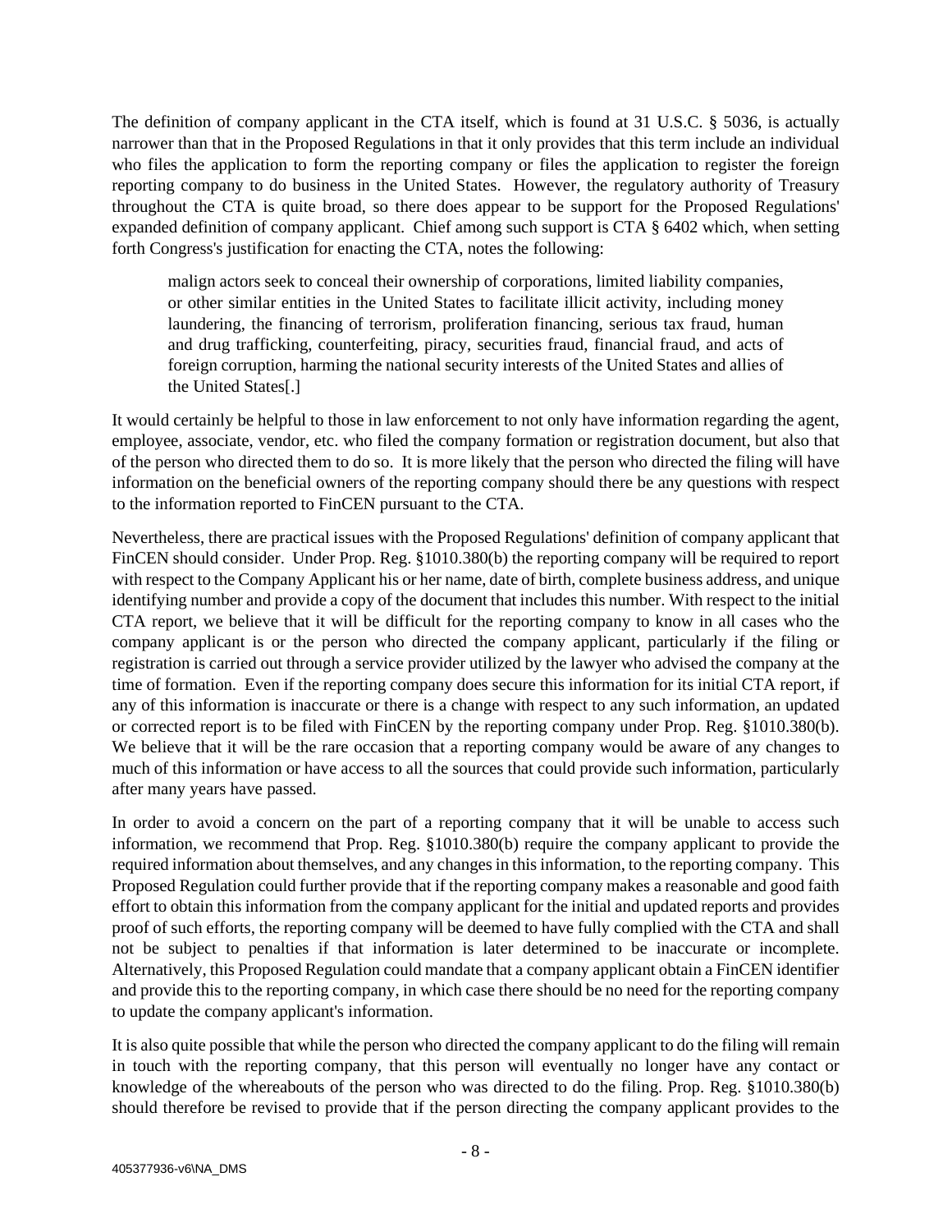The definition of company applicant in the CTA itself, which is found at 31 U.S.C. § 5036, is actually narrower than that in the Proposed Regulations in that it only provides that this term include an individual who files the application to form the reporting company or files the application to register the foreign reporting company to do business in the United States. However, the regulatory authority of Treasury throughout the CTA is quite broad, so there does appear to be support for the Proposed Regulations' expanded definition of company applicant. Chief among such support is CTA § 6402 which, when setting forth Congress's justification for enacting the CTA, notes the following:

malign actors seek to conceal their ownership of corporations, limited liability companies, or other similar entities in the United States to facilitate illicit activity, including money laundering, the financing of terrorism, proliferation financing, serious tax fraud, human and drug trafficking, counterfeiting, piracy, securities fraud, financial fraud, and acts of foreign corruption, harming the national security interests of the United States and allies of the United States[.]

It would certainly be helpful to those in law enforcement to not only have information regarding the agent, employee, associate, vendor, etc. who filed the company formation or registration document, but also that of the person who directed them to do so. It is more likely that the person who directed the filing will have information on the beneficial owners of the reporting company should there be any questions with respect to the information reported to FinCEN pursuant to the CTA.

Nevertheless, there are practical issues with the Proposed Regulations' definition of company applicant that FinCEN should consider. Under Prop. Reg. §1010.380(b) the reporting company will be required to report with respect to the Company Applicant his or her name, date of birth, complete business address, and unique identifying number and provide a copy of the document that includes this number. With respect to the initial CTA report, we believe that it will be difficult for the reporting company to know in all cases who the company applicant is or the person who directed the company applicant, particularly if the filing or registration is carried out through a service provider utilized by the lawyer who advised the company at the time of formation. Even if the reporting company does secure this information for its initial CTA report, if any of this information is inaccurate or there is a change with respect to any such information, an updated or corrected report is to be filed with FinCEN by the reporting company under Prop. Reg. §1010.380(b). We believe that it will be the rare occasion that a reporting company would be aware of any changes to much of this information or have access to all the sources that could provide such information, particularly after many years have passed.

In order to avoid a concern on the part of a reporting company that it will be unable to access such information, we recommend that Prop. Reg. §1010.380(b) require the company applicant to provide the required information about themselves, and any changes in this information, to the reporting company. This Proposed Regulation could further provide that if the reporting company makes a reasonable and good faith effort to obtain this information from the company applicant for the initial and updated reports and provides proof of such efforts, the reporting company will be deemed to have fully complied with the CTA and shall not be subject to penalties if that information is later determined to be inaccurate or incomplete. Alternatively, this Proposed Regulation could mandate that a company applicant obtain a FinCEN identifier and provide this to the reporting company, in which case there should be no need for the reporting company to update the company applicant's information.

It is also quite possible that while the person who directed the company applicant to do the filing will remain in touch with the reporting company, that this person will eventually no longer have any contact or knowledge of the whereabouts of the person who was directed to do the filing. Prop. Reg. §1010.380(b) should therefore be revised to provide that if the person directing the company applicant provides to the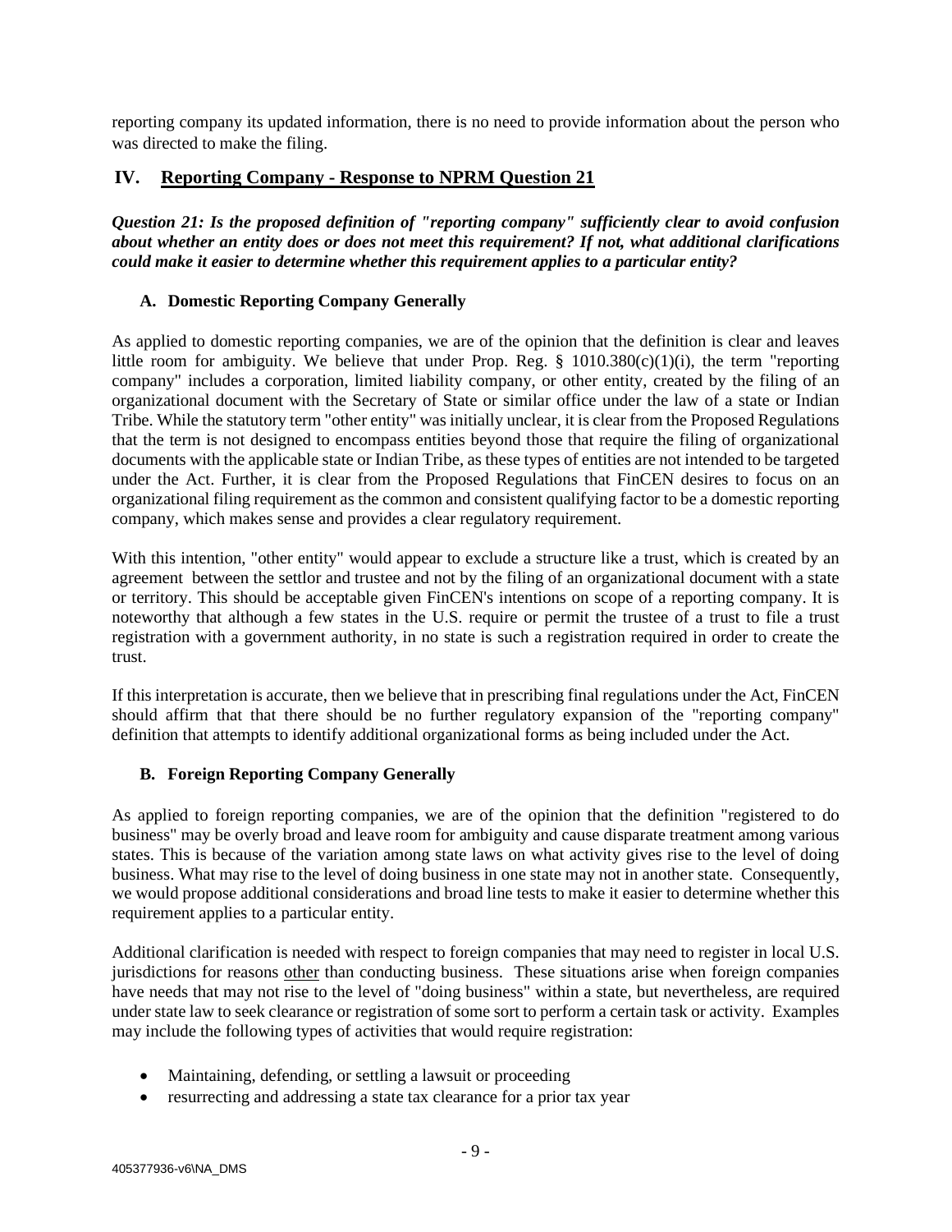reporting company its updated information, there is no need to provide information about the person who was directed to make the filing.

### **IV. Reporting Company - Response to NPRM Question 21**

*Question 21: Is the proposed definition of "reporting company" sufficiently clear to avoid confusion about whether an entity does or does not meet this requirement? If not, what additional clarifications could make it easier to determine whether this requirement applies to a particular entity?*

#### **A. Domestic Reporting Company Generally**

As applied to domestic reporting companies, we are of the opinion that the definition is clear and leaves little room for ambiguity. We believe that under Prop. Reg.  $\S$  1010.380(c)(1)(i), the term "reporting company" includes a corporation, limited liability company, or other entity, created by the filing of an organizational document with the Secretary of State or similar office under the law of a state or Indian Tribe. While the statutory term "other entity" was initially unclear, it is clear from the Proposed Regulations that the term is not designed to encompass entities beyond those that require the filing of organizational documents with the applicable state or Indian Tribe, as these types of entities are not intended to be targeted under the Act. Further, it is clear from the Proposed Regulations that FinCEN desires to focus on an organizational filing requirement as the common and consistent qualifying factor to be a domestic reporting company, which makes sense and provides a clear regulatory requirement.

With this intention, "other entity" would appear to exclude a structure like a trust, which is created by an agreement between the settlor and trustee and not by the filing of an organizational document with a state or territory. This should be acceptable given FinCEN's intentions on scope of a reporting company. It is noteworthy that although a few states in the U.S. require or permit the trustee of a trust to file a trust registration with a government authority, in no state is such a registration required in order to create the trust.

If this interpretation is accurate, then we believe that in prescribing final regulations under the Act, FinCEN should affirm that that there should be no further regulatory expansion of the "reporting company" definition that attempts to identify additional organizational forms as being included under the Act.

#### **B. Foreign Reporting Company Generally**

As applied to foreign reporting companies, we are of the opinion that the definition "registered to do business" may be overly broad and leave room for ambiguity and cause disparate treatment among various states. This is because of the variation among state laws on what activity gives rise to the level of doing business. What may rise to the level of doing business in one state may not in another state. Consequently, we would propose additional considerations and broad line tests to make it easier to determine whether this requirement applies to a particular entity.

Additional clarification is needed with respect to foreign companies that may need to register in local U.S. jurisdictions for reasons other than conducting business. These situations arise when foreign companies have needs that may not rise to the level of "doing business" within a state, but nevertheless, are required under state law to seek clearance or registration of some sort to perform a certain task or activity. Examples may include the following types of activities that would require registration:

- Maintaining, defending, or settling a lawsuit or proceeding
- resurrecting and addressing a state tax clearance for a prior tax year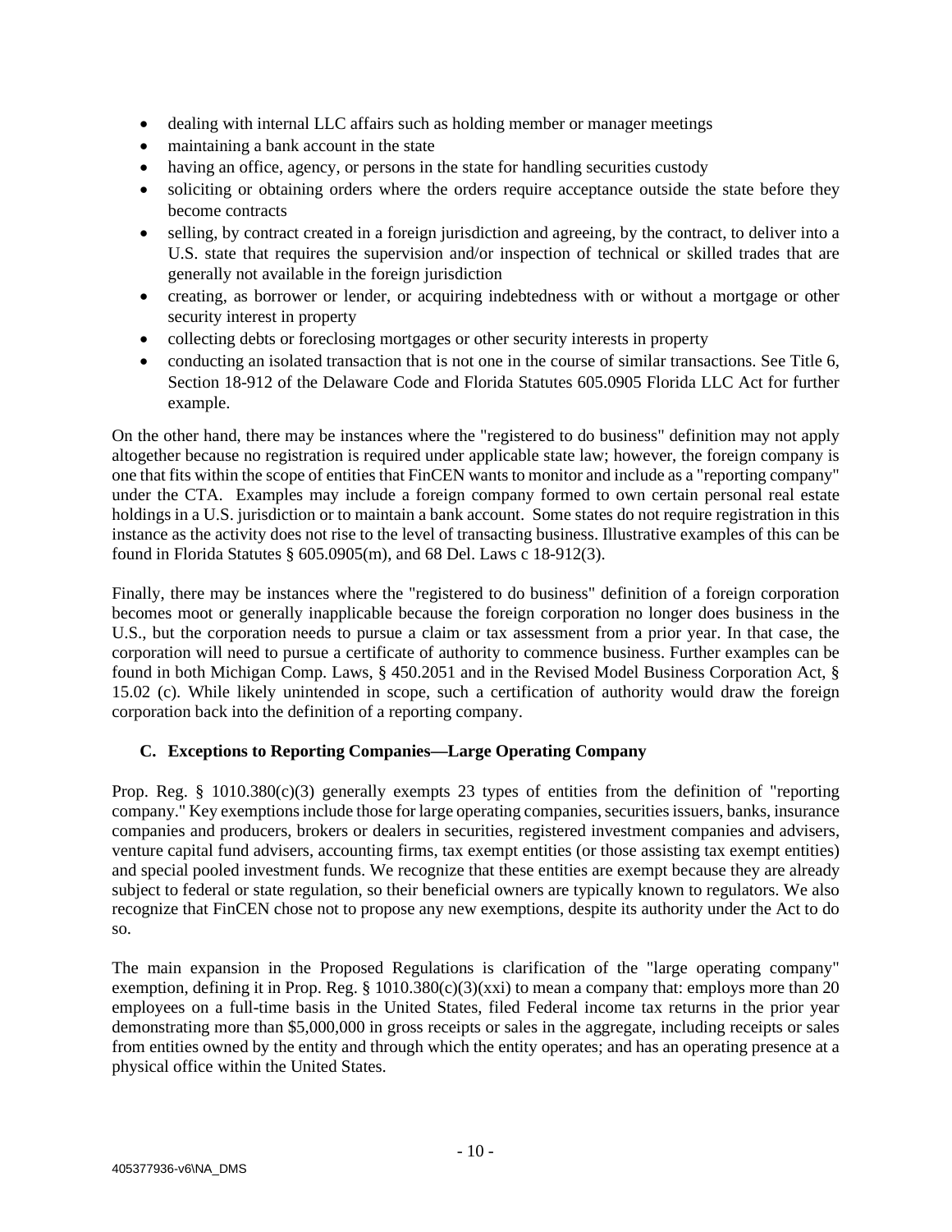- dealing with internal LLC affairs such as holding member or manager meetings
- maintaining a bank account in the state
- having an office, agency, or persons in the state for handling securities custody
- soliciting or obtaining orders where the orders require acceptance outside the state before they become contracts
- selling, by contract created in a foreign jurisdiction and agreeing, by the contract, to deliver into a U.S. state that requires the supervision and/or inspection of technical or skilled trades that are generally not available in the foreign jurisdiction
- creating, as borrower or lender, or acquiring indebtedness with or without a mortgage or other security interest in property
- collecting debts or foreclosing mortgages or other security interests in property
- conducting an isolated transaction that is not one in the course of similar transactions. See Title 6, Section 18-912 of the Delaware Code and Florida Statutes 605.0905 Florida LLC Act for further example.

On the other hand, there may be instances where the "registered to do business" definition may not apply altogether because no registration is required under applicable state law; however, the foreign company is one that fits within the scope of entities that FinCEN wants to monitor and include as a "reporting company" under the CTA. Examples may include a foreign company formed to own certain personal real estate holdings in a U.S. jurisdiction or to maintain a bank account. Some states do not require registration in this instance as the activity does not rise to the level of transacting business. Illustrative examples of this can be found in Florida Statutes § 605.0905(m), and 68 Del. Laws c 18-912(3).

Finally, there may be instances where the "registered to do business" definition of a foreign corporation becomes moot or generally inapplicable because the foreign corporation no longer does business in the U.S., but the corporation needs to pursue a claim or tax assessment from a prior year. In that case, the corporation will need to pursue a certificate of authority to commence business. Further examples can be found in both Michigan Comp. Laws, § 450.2051 and in the Revised Model Business Corporation Act, § 15.02 (c). While likely unintended in scope, such a certification of authority would draw the foreign corporation back into the definition of a reporting company.

#### **C. Exceptions to Reporting Companies—Large Operating Company**

Prop. Reg.  $\S$  1010.380(c)(3) generally exempts 23 types of entities from the definition of "reporting company." Key exemptions include those for large operating companies, securities issuers, banks, insurance companies and producers, brokers or dealers in securities, registered investment companies and advisers, venture capital fund advisers, accounting firms, tax exempt entities (or those assisting tax exempt entities) and special pooled investment funds. We recognize that these entities are exempt because they are already subject to federal or state regulation, so their beneficial owners are typically known to regulators. We also recognize that FinCEN chose not to propose any new exemptions, despite its authority under the Act to do so.

The main expansion in the Proposed Regulations is clarification of the "large operating company" exemption, defining it in Prop. Reg.  $\S$  1010.380(c)(3)(xxi) to mean a company that: employs more than 20 employees on a full-time basis in the United States, filed Federal income tax returns in the prior year demonstrating more than \$5,000,000 in gross receipts or sales in the aggregate, including receipts or sales from entities owned by the entity and through which the entity operates; and has an operating presence at a physical office within the United States.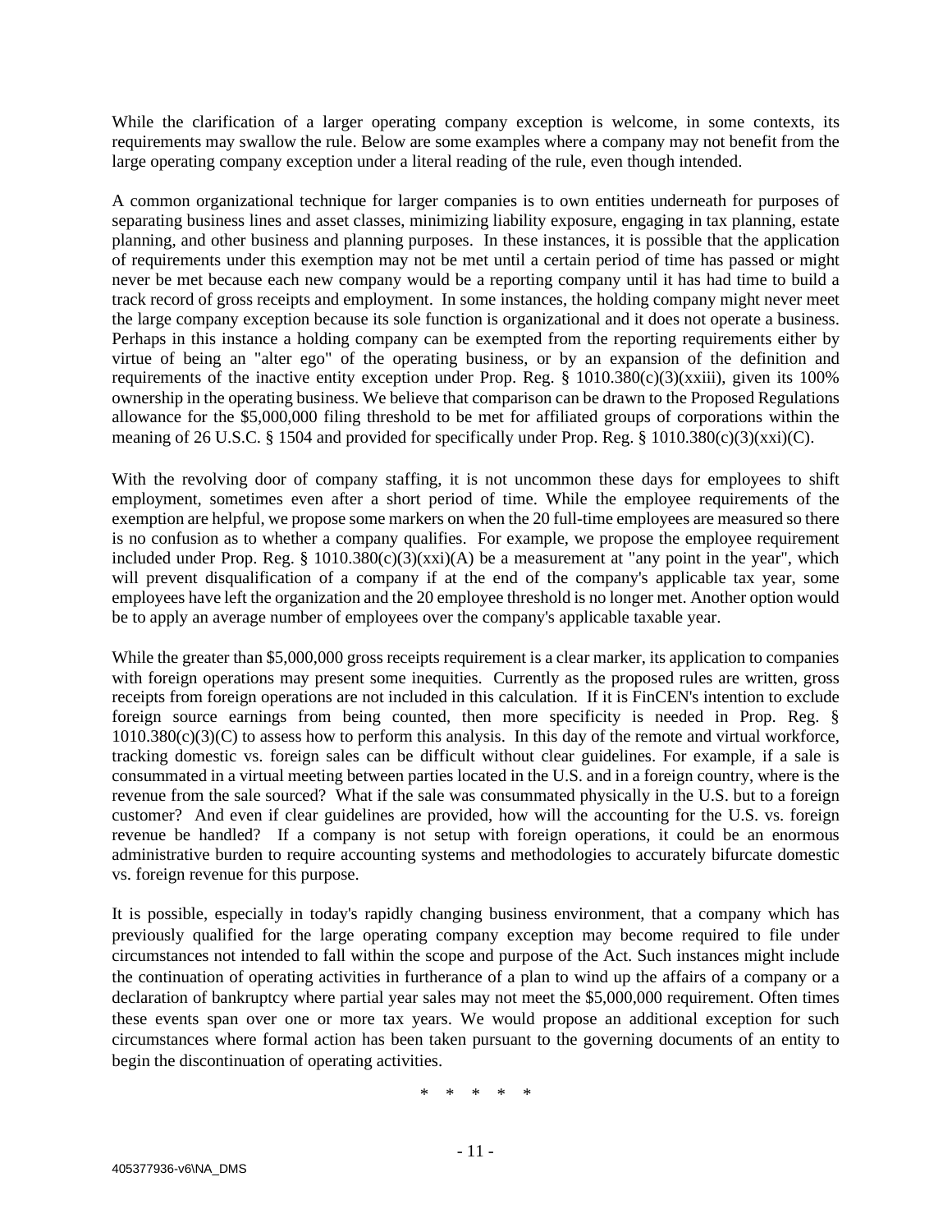While the clarification of a larger operating company exception is welcome, in some contexts, its requirements may swallow the rule. Below are some examples where a company may not benefit from the large operating company exception under a literal reading of the rule, even though intended.

A common organizational technique for larger companies is to own entities underneath for purposes of separating business lines and asset classes, minimizing liability exposure, engaging in tax planning, estate planning, and other business and planning purposes. In these instances, it is possible that the application of requirements under this exemption may not be met until a certain period of time has passed or might never be met because each new company would be a reporting company until it has had time to build a track record of gross receipts and employment. In some instances, the holding company might never meet the large company exception because its sole function is organizational and it does not operate a business. Perhaps in this instance a holding company can be exempted from the reporting requirements either by virtue of being an "alter ego" of the operating business, or by an expansion of the definition and requirements of the inactive entity exception under Prop. Reg.  $\S$  1010.380(c)(3)(xxiii), given its 100% ownership in the operating business. We believe that comparison can be drawn to the Proposed Regulations allowance for the \$5,000,000 filing threshold to be met for affiliated groups of corporations within the meaning of 26 U.S.C. § 1504 and provided for specifically under Prop. Reg. § 1010.380(c)(3)(xxi)(C).

With the revolving door of company staffing, it is not uncommon these days for employees to shift employment, sometimes even after a short period of time. While the employee requirements of the exemption are helpful, we propose some markers on when the 20 full-time employees are measured so there is no confusion as to whether a company qualifies. For example, we propose the employee requirement included under Prop. Reg. §  $1010.380(c)(3)(xxi)$  be a measurement at "any point in the year", which will prevent disqualification of a company if at the end of the company's applicable tax year, some employees have left the organization and the 20 employee threshold is no longer met. Another option would be to apply an average number of employees over the company's applicable taxable year.

While the greater than \$5,000,000 gross receipts requirement is a clear marker, its application to companies with foreign operations may present some inequities. Currently as the proposed rules are written, gross receipts from foreign operations are not included in this calculation. If it is FinCEN's intention to exclude foreign source earnings from being counted, then more specificity is needed in Prop. Reg. §  $1010.380(c)(3)(C)$  to assess how to perform this analysis. In this day of the remote and virtual workforce, tracking domestic vs. foreign sales can be difficult without clear guidelines. For example, if a sale is consummated in a virtual meeting between parties located in the U.S. and in a foreign country, where is the revenue from the sale sourced? What if the sale was consummated physically in the U.S. but to a foreign customer? And even if clear guidelines are provided, how will the accounting for the U.S. vs. foreign revenue be handled? If a company is not setup with foreign operations, it could be an enormous administrative burden to require accounting systems and methodologies to accurately bifurcate domestic vs. foreign revenue for this purpose.

It is possible, especially in today's rapidly changing business environment, that a company which has previously qualified for the large operating company exception may become required to file under circumstances not intended to fall within the scope and purpose of the Act. Such instances might include the continuation of operating activities in furtherance of a plan to wind up the affairs of a company or a declaration of bankruptcy where partial year sales may not meet the \$5,000,000 requirement. Often times these events span over one or more tax years. We would propose an additional exception for such circumstances where formal action has been taken pursuant to the governing documents of an entity to begin the discontinuation of operating activities.

\* \* \* \* \*